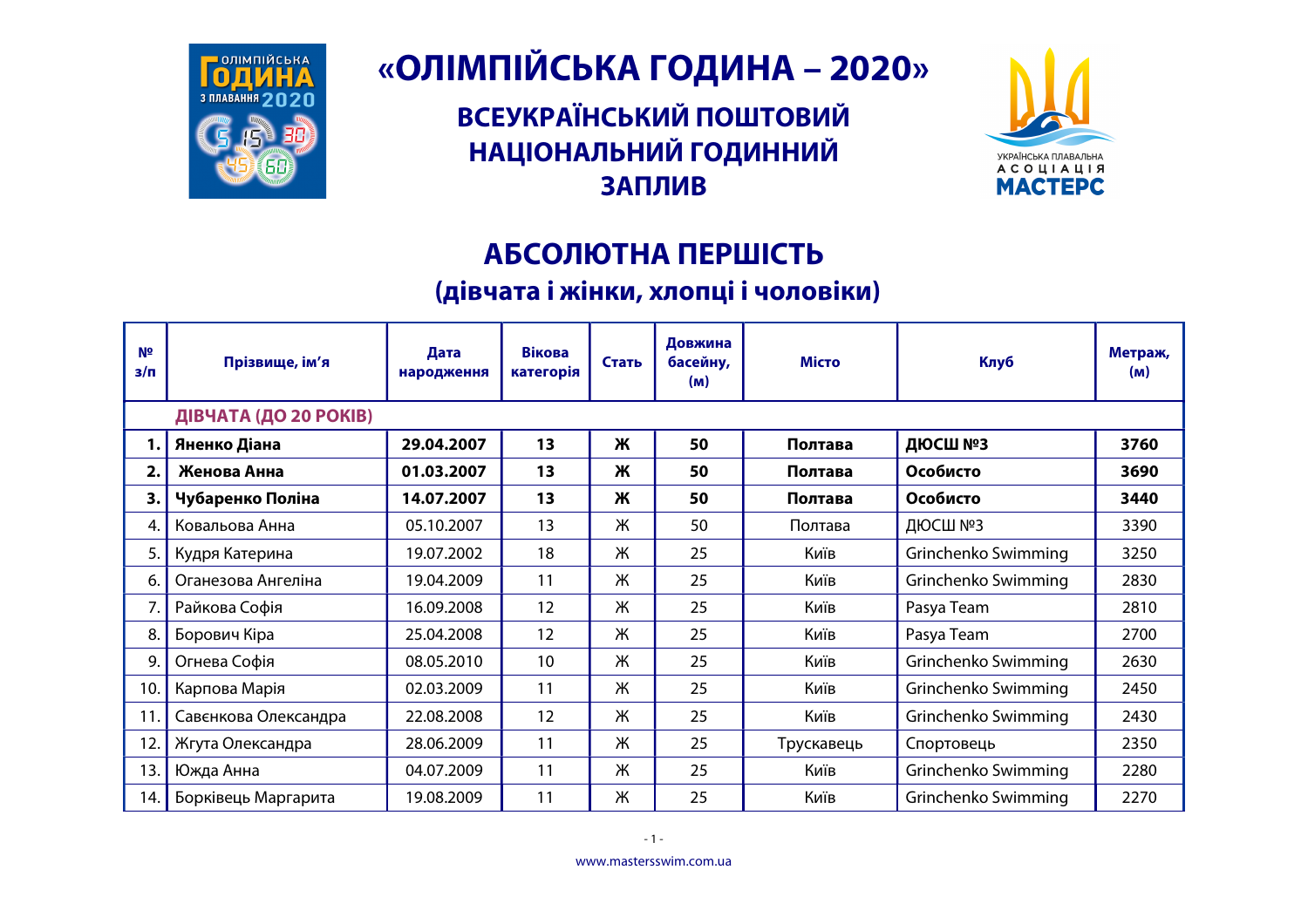

## «ОЛІМПІЙСЬКА ГОДИНА - 2020»

**ВСЕУКРАЇНСЬКИЙ ПОШТОВИЙ** НАЦІОНАЛЬНИЙ ГОДИННИЙ **ЗАПЛИВ** 



## АБСОЛЮТНА ПЕРШІСТЬ

## (дівчата і жінки, хлопці і чоловіки)

| N <sub>2</sub><br>$3/\Pi$ | Прізвище, ім'я        | Дата<br>народження | <b>Вікова</b><br>категорія | Стать | Довжина<br>басейну,<br>(m) | <b>Місто</b> | Клуб                | Метраж,<br>(m) |
|---------------------------|-----------------------|--------------------|----------------------------|-------|----------------------------|--------------|---------------------|----------------|
|                           | ДІВЧАТА (ДО 20 РОКІВ) |                    |                            |       |                            |              |                     |                |
|                           | Яненко Діана          | 29.04.2007         | 13                         | Ж     | 50                         | Полтава      | ДЮСШ №3             | 3760           |
| 2.                        | Женова Анна           | 01.03.2007         | 13                         | Ж     | 50                         | Полтава      | Особисто            | 3690           |
| 3.                        | Чубаренко Поліна      | 14.07.2007         | 13                         | Ж     | 50                         | Полтава      | Особисто            | 3440           |
| 4.                        | Ковальова Анна        | 05.10.2007         | 13                         | Ж     | 50                         | Полтава      | ДЮСШ №3             | 3390           |
| 5.                        | Кудря Катерина        | 19.07.2002         | 18                         | Ж     | 25                         | Київ         | Grinchenko Swimming | 3250           |
| 6.                        | Оганезова Ангеліна    | 19.04.2009         | 11                         | Ж     | 25                         | Київ         | Grinchenko Swimming | 2830           |
| 7.                        | Райкова Софія         | 16.09.2008         | 12                         | Ж     | 25                         | Київ         | Pasya Team          | 2810           |
| 8.                        | Борович Кіра          | 25.04.2008         | 12                         | Ж     | 25                         | Київ         | Pasya Team          | 2700           |
| 9.                        | Огнева Софія          | 08.05.2010         | 10                         | Ж     | 25                         | Київ         | Grinchenko Swimming | 2630           |
| 10.                       | Карпова Марія         | 02.03.2009         | 11                         | Ж     | 25                         | Київ         | Grinchenko Swimming | 2450           |
|                           | Савєнкова Олександра  | 22.08.2008         | 12                         | Ж     | 25                         | Київ         | Grinchenko Swimming | 2430           |
| 12.                       | Жгута Олександра      | 28.06.2009         | 11                         | Ж     | 25                         | Трускавець   | Спортовець          | 2350           |
| 13.                       | Южда Анна             | 04.07.2009         | 11                         | Ж     | 25                         | Київ         | Grinchenko Swimming | 2280           |
| 14.                       | Борківець Маргарита   | 19.08.2009         | 11                         | Ж     | 25                         | Київ         | Grinchenko Swimming | 2270           |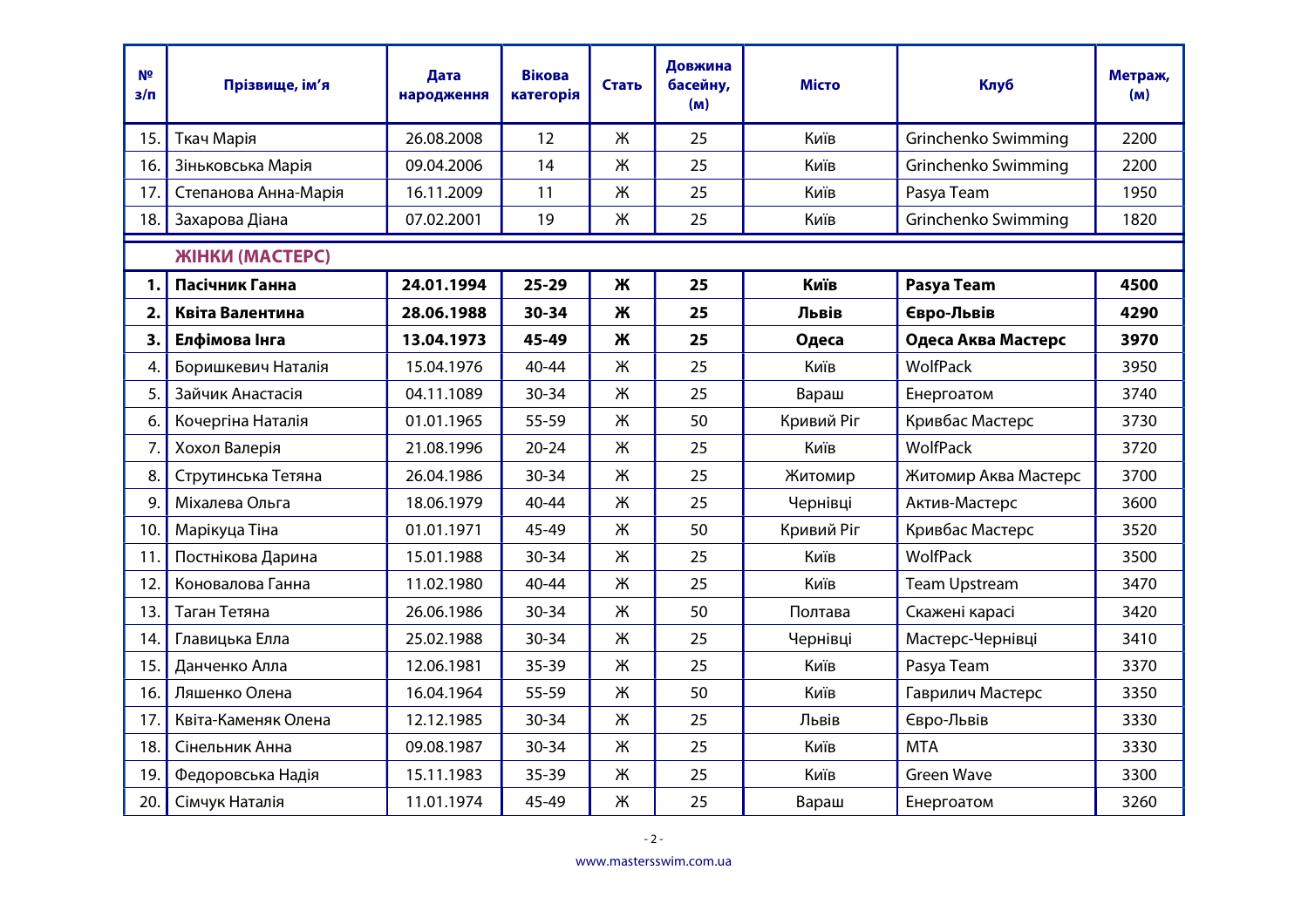| Nº<br>з/п       | Прізвище, ім'я       | Дата<br>народження | <b>Вікова</b><br>категорія | Стать | Довжина<br>басейну,<br>(M) | <b>Місто</b> | <b>Клуб</b>          | Метраж,<br>(M) |
|-----------------|----------------------|--------------------|----------------------------|-------|----------------------------|--------------|----------------------|----------------|
| 15.             | Ткач Марія           | 26.08.2008         | 12                         | Ж     | 25                         | Київ         | Grinchenko Swimming  | 2200           |
| 16.             | Зіньковська Марія    | 09.04.2006         | 14                         | Ж     | 25                         | Київ         | Grinchenko Swimming  | 2200           |
| 17.             | Степанова Анна-Марія | 16.11.2009         | 11                         | Ж     | 25                         | Київ         | Pasya Team           | 1950           |
| 18.             | Захарова Діана       | 07.02.2001         | 19                         | Ж     | 25                         | Київ         | Grinchenko Swimming  | 1820           |
|                 | ЖІНКИ (МАСТЕРС)      |                    |                            |       |                            |              |                      |                |
| 1.              | Пасічник Ганна       | 24.01.1994         | 25-29                      | Ж     | 25                         | Київ         | Pasya Team           | 4500           |
| 2.              | Квіта Валентина      | 28.06.1988         | 30-34                      | Ж     | 25                         | Львів        | Євро-Львів           | 4290           |
| 3.              | Елфімова Інга        | 13.04.1973         | 45-49                      | Ж     | 25                         | Одеса        | Одеса Аква Мастерс   | 3970           |
| 4.              | Боришкевич Наталія   | 15.04.1976         | 40-44                      | Ж     | 25                         | Київ         | WolfPack             | 3950           |
| 5.              | Зайчик Анастасія     | 04.11.1089         | 30-34                      | Ж     | 25                         | Вараш        | Енергоатом           | 3740           |
| 6.              | Кочергіна Наталія    | 01.01.1965         | 55-59                      | Ж     | 50                         | Кривий Ріг   | Кривбас Мастерс      | 3730           |
| 7.              | Хохол Валерія        | 21.08.1996         | $20 - 24$                  | Ж     | 25                         | Київ         | WolfPack             | 3720           |
| 8.              | Струтинська Тетяна   | 26.04.1986         | $30 - 34$                  | Ж     | 25                         | Житомир      | Житомир Аква Мастерс | 3700           |
| 9.              | Міхалева Ольга       | 18.06.1979         | 40-44                      | Ж     | 25                         | Чернівці     | Актив-Мастерс        | 3600           |
| 10.             | Марікуца Тіна        | 01.01.1971         | 45-49                      | Ж     | 50                         | Кривий Ріг   | Кривбас Мастерс      | 3520           |
| 11.             | Постнікова Дарина    | 15.01.1988         | $30 - 34$                  | Ж     | 25                         | Київ         | WolfPack             | 3500           |
| 12.             | Коновалова Ганна     | 11.02.1980         | 40-44                      | Ж     | 25                         | Київ         | <b>Team Upstream</b> | 3470           |
| 13.             | Таган Тетяна         | 26.06.1986         | 30-34                      | Ж     | 50                         | Полтава      | Скажені карасі       | 3420           |
| 14.             | Главицька Елла       | 25.02.1988         | 30-34                      | Ж     | 25                         | Чернівці     | Мастерс-Чернівці     | 3410           |
| 15.             | Данченко Алла        | 12.06.1981         | $35 - 39$                  | Ж     | 25                         | Київ         | Pasya Team           | 3370           |
| 16.             | Ляшенко Олена        | 16.04.1964         | 55-59                      | Ж     | 50                         | Київ         | Гаврилич Мастерс     | 3350           |
| 17 <sub>1</sub> | Квіта-Каменяк Олена  | 12.12.1985         | 30-34                      | Ж     | 25                         | Львів        | Євро-Львів           | 3330           |
| 18.             | Сінельник Анна       | 09.08.1987         | $30 - 34$                  | Ж     | 25                         | Київ         | <b>MTA</b>           | 3330           |
| 19.             | Федоровська Надія    | 15.11.1983         | 35-39                      | Ж     | 25                         | Київ         | <b>Green Wave</b>    | 3300           |
| 20.             | Сімчук Наталія       | 11.01.1974         | 45-49                      | Ж     | 25                         | Вараш        | Енергоатом           | 3260           |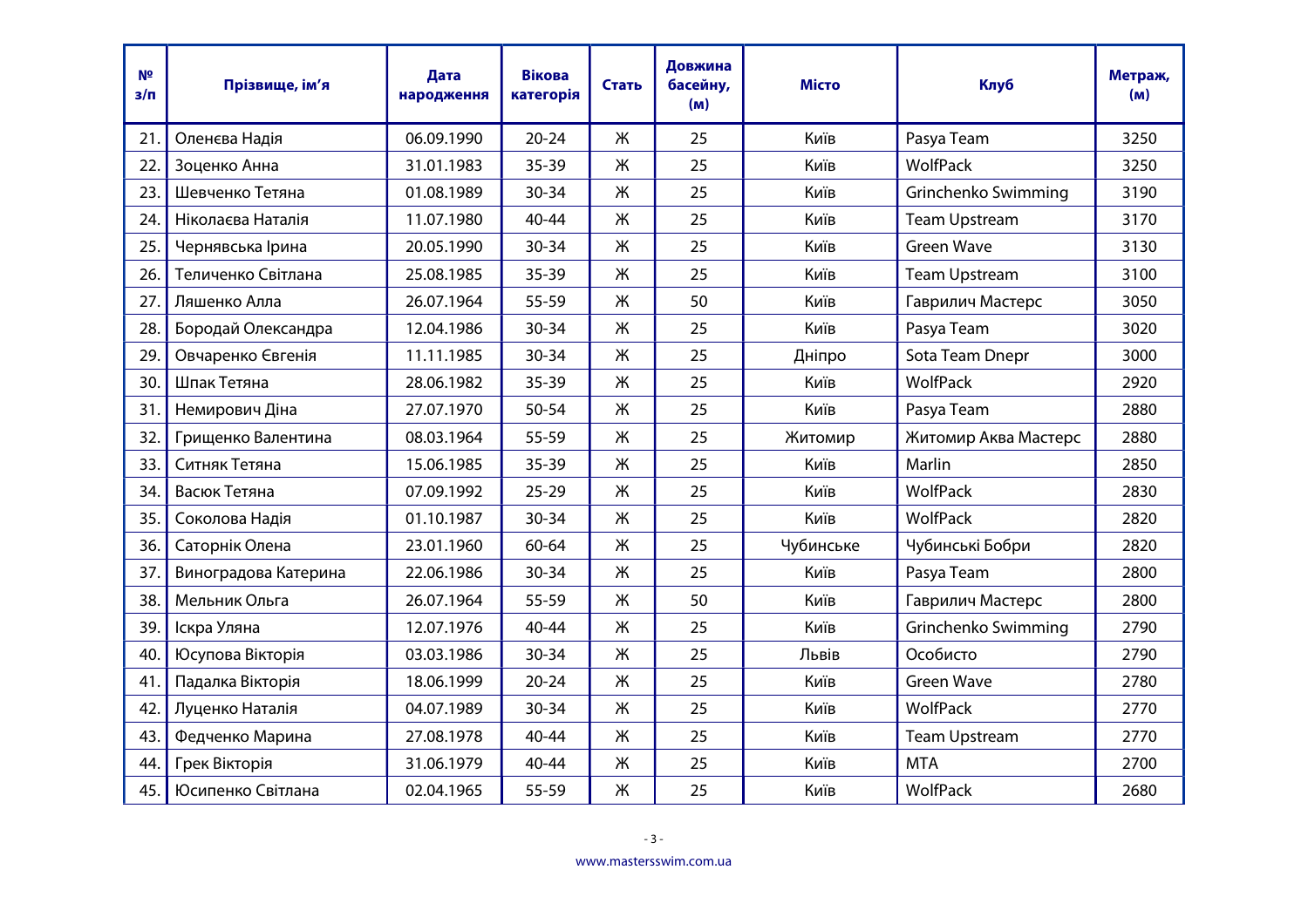| Nº<br>$3/\Pi$ | Прізвище, ім'я       | Дата<br>народження | <b>Вікова</b><br>категорія | Стать | Довжина<br>басейну,<br>(M) | <b>Місто</b> | <b>Клуб</b>          | Метраж,<br>(M) |
|---------------|----------------------|--------------------|----------------------------|-------|----------------------------|--------------|----------------------|----------------|
| 21.           | Оленєва Надія        | 06.09.1990         | $20 - 24$                  | Ж     | 25                         | Київ         | Pasya Team           | 3250           |
| 22.           | Зоценко Анна         | 31.01.1983         | $35 - 39$                  | Ж     | 25                         | Київ         | WolfPack             | 3250           |
| 23.           | Шевченко Тетяна      | 01.08.1989         | 30-34                      | Ж     | 25                         | Київ         | Grinchenko Swimming  | 3190           |
| 24.           | Ніколаєва Наталія    | 11.07.1980         | 40-44                      | Ж     | 25                         | Київ         | <b>Team Upstream</b> | 3170           |
| 25.           | Чернявська Ірина     | 20.05.1990         | 30-34                      | Ж     | 25                         | Київ         | <b>Green Wave</b>    | 3130           |
| 26.           | Теличенко Світлана   | 25.08.1985         | $35 - 39$                  | Ж     | 25                         | Київ         | <b>Team Upstream</b> | 3100           |
| 27.           | Ляшенко Алла         | 26.07.1964         | 55-59                      | Ж     | 50                         | Київ         | Гаврилич Мастерс     | 3050           |
| 28.           | Бородай Олександра   | 12.04.1986         | 30-34                      | Ж     | 25                         | Київ         | Pasya Team           | 3020           |
| 29.           | Овчаренко Євгенія    | 11.11.1985         | $30 - 34$                  | Ж     | 25                         | Дніпро       | Sota Team Dnepr      | 3000           |
| 30.           | Шпак Тетяна          | 28.06.1982         | $35 - 39$                  | Ж     | 25                         | Київ         | <b>WolfPack</b>      | 2920           |
| 31.           | Немирович Діна       | 27.07.1970         | 50-54                      | Ж     | 25                         | Київ         | Pasya Team           | 2880           |
| 32.           | Грищенко Валентина   | 08.03.1964         | 55-59                      | Ж     | 25                         | Житомир      | Житомир Аква Мастерс | 2880           |
| 33.           | Ситняк Тетяна        | 15.06.1985         | $35 - 39$                  | Ж     | 25                         | Київ         | Marlin               | 2850           |
| 34.           | Васюк Тетяна         | 07.09.1992         | $25 - 29$                  | Ж     | 25                         | Київ         | WolfPack             | 2830           |
| 35.           | Соколова Надія       | 01.10.1987         | $30 - 34$                  | Ж     | 25                         | Київ         | <b>WolfPack</b>      | 2820           |
| 36.           | Саторнік Олена       | 23.01.1960         | 60-64                      | Ж     | 25                         | Чубинське    | Чубинські Бобри      | 2820           |
| 37.           | Виноградова Катерина | 22.06.1986         | 30-34                      | Ж     | 25                         | Київ         | Pasya Team           | 2800           |
| 38.           | Мельник Ольга        | 26.07.1964         | 55-59                      | Ж     | 50                         | Київ         | Гаврилич Мастерс     | 2800           |
| 39.           | Іскра Уляна          | 12.07.1976         | 40-44                      | Ж     | 25                         | Київ         | Grinchenko Swimming  | 2790           |
| 40.           | Юсупова Вікторія     | 03.03.1986         | 30-34                      | Ж     | 25                         | Львів        | Особисто             | 2790           |
| 41.           | Падалка Вікторія     | 18.06.1999         | $20 - 24$                  | Ж     | 25                         | Київ         | <b>Green Wave</b>    | 2780           |
| 42.           | Луценко Наталія      | 04.07.1989         | 30-34                      | Ж     | 25                         | Київ         | WolfPack             | 2770           |
| 43.           | Федченко Марина      | 27.08.1978         | 40-44                      | Ж     | 25                         | Київ         | <b>Team Upstream</b> | 2770           |
| 44.           | Грек Вікторія        | 31.06.1979         | 40-44                      | Ж     | 25                         | Київ         | <b>MTA</b>           | 2700           |
| 45.           | Юсипенко Світлана    | 02.04.1965         | 55-59                      | Ж     | 25                         | Київ         | WolfPack             | 2680           |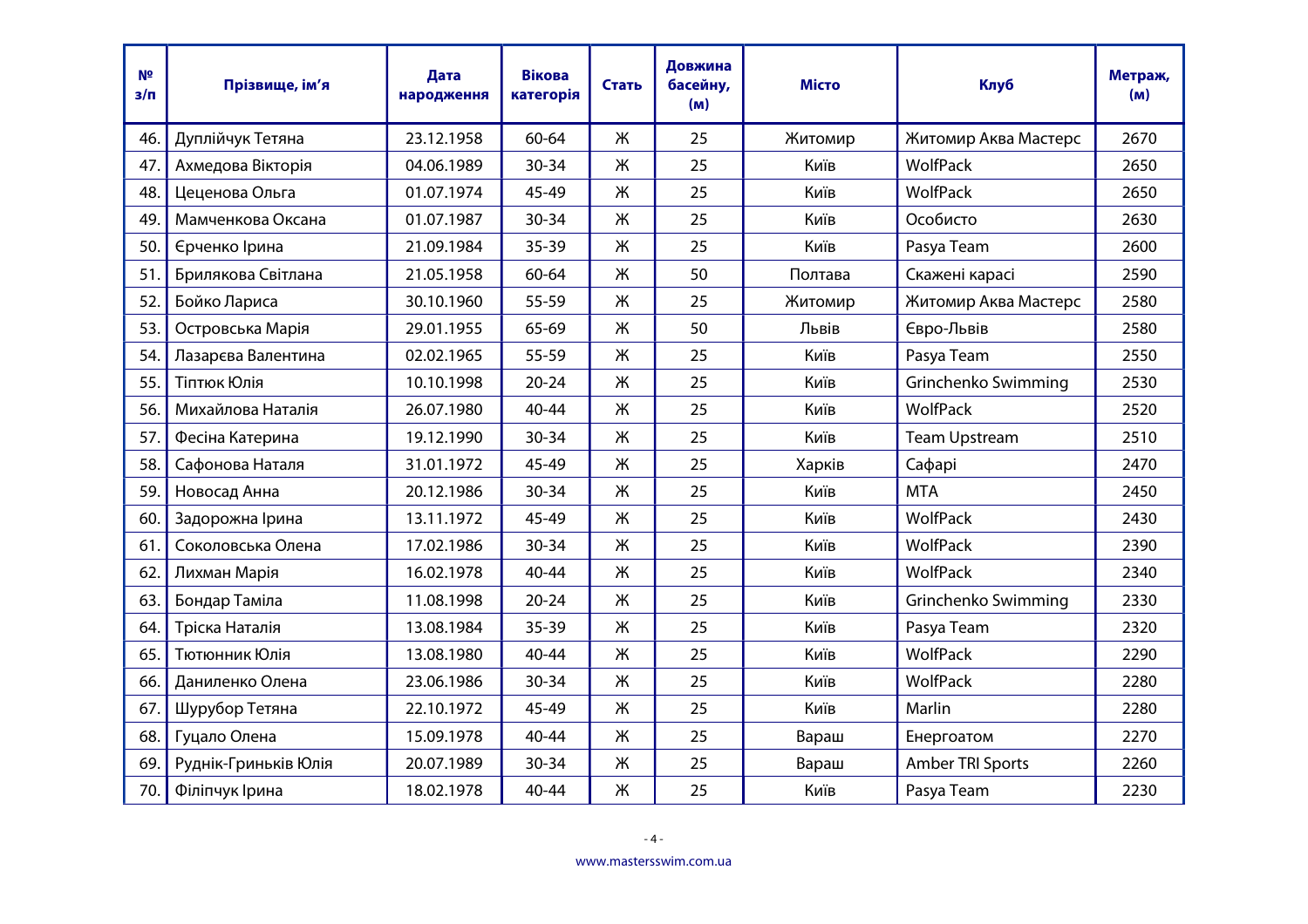| N <sup>2</sup><br>$3/\pi$ | Прізвище, ім'я       | Дата<br>народження | <b>Вікова</b><br>категорія | Стать | Довжина<br>басейну,<br>(M) | <b>Місто</b> | <b>Клуб</b>          | Метраж,<br>(M) |
|---------------------------|----------------------|--------------------|----------------------------|-------|----------------------------|--------------|----------------------|----------------|
| 46.                       | Дуплійчук Тетяна     | 23.12.1958         | 60-64                      | Ж     | 25                         | Житомир      | Житомир Аква Мастерс | 2670           |
| 47.                       | Ахмедова Вікторія    | 04.06.1989         | $30 - 34$                  | Ж     | 25                         | Київ         | WolfPack             | 2650           |
| 48.                       | Цеценова Ольга       | 01.07.1974         | 45-49                      | Ж     | 25                         | Київ         | WolfPack             | 2650           |
| 49.                       | Мамченкова Оксана    | 01.07.1987         | $30 - 34$                  | Ж     | 25                         | Київ         | Особисто             | 2630           |
| 50.                       | Єрченко Ірина        | 21.09.1984         | 35-39                      | Ж     | 25                         | Київ         | Pasya Team           | 2600           |
| 51.                       | Брилякова Світлана   | 21.05.1958         | 60-64                      | Ж     | 50                         | Полтава      | Скажені карасі       | 2590           |
| 52.                       | Бойко Лариса         | 30.10.1960         | 55-59                      | Ж     | 25                         | Житомир      | Житомир Аква Мастерс | 2580           |
| 53.                       | Островська Марія     | 29.01.1955         | 65-69                      | Ж     | 50                         | Львів        | Євро-Львів           | 2580           |
| 54.                       | Лазарєва Валентина   | 02.02.1965         | 55-59                      | Ж     | 25                         | Київ         | Pasya Team           | 2550           |
| 55.                       | Тіптюк Юлія          | 10.10.1998         | $20 - 24$                  | Ж     | 25                         | Київ         | Grinchenko Swimming  | 2530           |
| 56.                       | Михайлова Наталія    | 26.07.1980         | $40 - 44$                  | Ж     | 25                         | Київ         | WolfPack             | 2520           |
| 57.                       | Фесіна Катерина      | 19.12.1990         | $30 - 34$                  | Ж     | 25                         | Київ         | <b>Team Upstream</b> | 2510           |
| 58.                       | Сафонова Наталя      | 31.01.1972         | 45-49                      | Ж     | 25                         | Харків       | Сафарі               | 2470           |
| 59.                       | Новосад Анна         | 20.12.1986         | $30 - 34$                  | Ж     | 25                         | Київ         | <b>MTA</b>           | 2450           |
| 60.                       | Задорожна Ірина      | 13.11.1972         | 45-49                      | Ж     | 25                         | Київ         | <b>WolfPack</b>      | 2430           |
| 61.                       | Соколовська Олена    | 17.02.1986         | $30 - 34$                  | Ж     | 25                         | Київ         | <b>WolfPack</b>      | 2390           |
| 62.                       | Лихман Марія         | 16.02.1978         | $40 - 44$                  | Ж     | 25                         | Київ         | WolfPack             | 2340           |
| 63.                       | Бондар Таміла        | 11.08.1998         | $20 - 24$                  | Ж     | 25                         | Київ         | Grinchenko Swimming  | 2330           |
| 64.                       | Тріска Наталія       | 13.08.1984         | $35 - 39$                  | Ж     | 25                         | Київ         | Pasya Team           | 2320           |
| 65.                       | Тютюнник Юлія        | 13.08.1980         | $40 - 44$                  | Ж     | 25                         | Київ         | WolfPack             | 2290           |
| 66.                       | Даниленко Олена      | 23.06.1986         | $30 - 34$                  | Ж     | 25                         | Київ         | WolfPack             | 2280           |
| 67.                       | Шурубор Тетяна       | 22.10.1972         | 45-49                      | Ж     | 25                         | Київ         | Marlin               | 2280           |
| 68.                       | Гуцало Олена         | 15.09.1978         | 40-44                      | Ж     | 25                         | Вараш        | Енергоатом           | 2270           |
| 69.                       | Руднік-Гриньків Юлія | 20.07.1989         | $30 - 34$                  | Ж     | 25                         | Вараш        | Amber TRI Sports     | 2260           |
| 70.                       | Філіпчук Ірина       | 18.02.1978         | 40-44                      | Ж     | 25                         | Київ         | Pasya Team           | 2230           |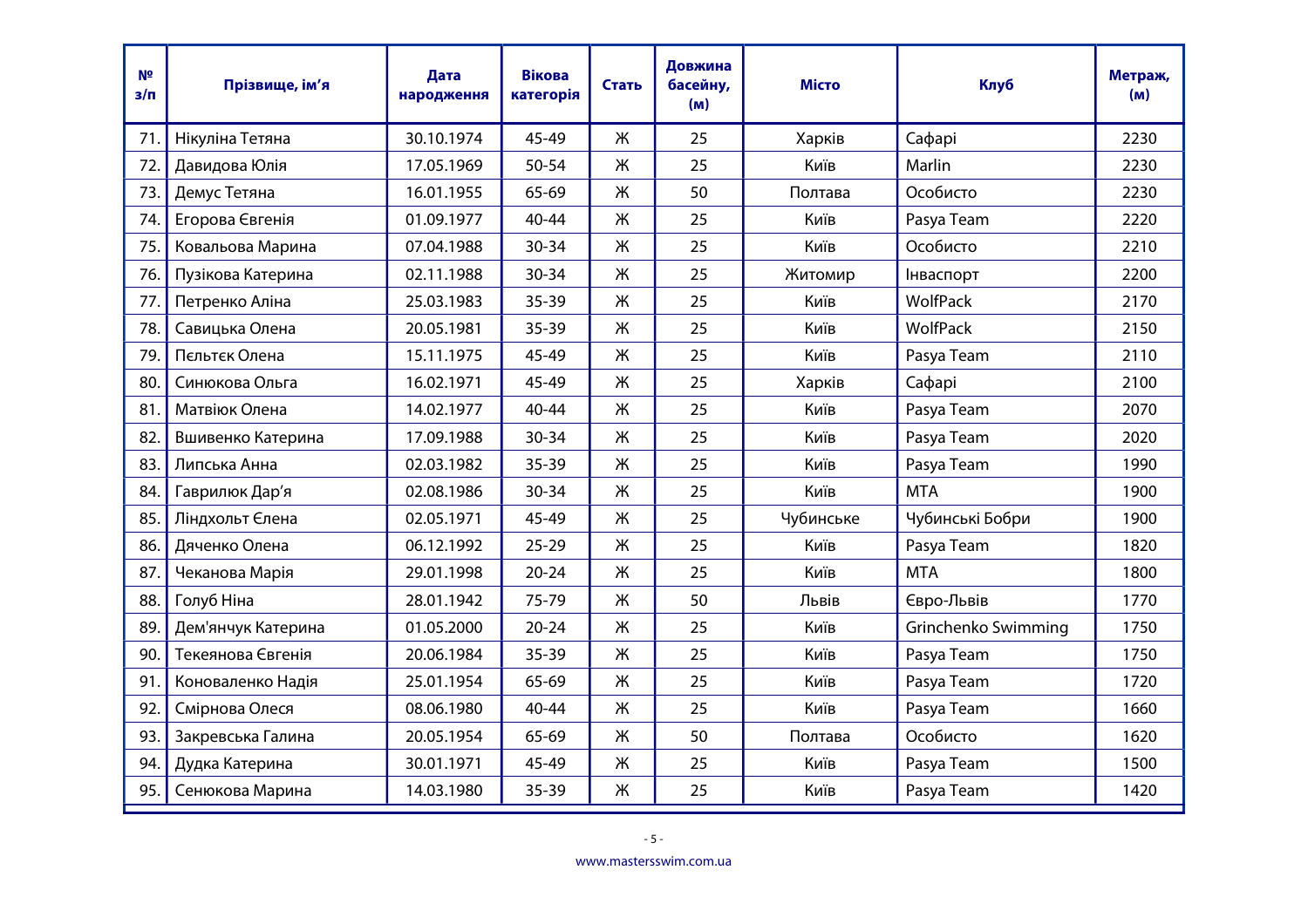| N <sup>2</sup><br>з/п | Прізвище, ім'я     | Дата<br>народження | <b>Вікова</b><br>категорія | Стать | Довжина<br>басейну,<br>(M) | <b>Місто</b> | <b>Клуб</b>         | Метраж,<br>(M) |
|-----------------------|--------------------|--------------------|----------------------------|-------|----------------------------|--------------|---------------------|----------------|
| 71.                   | Нікуліна Тетяна    | 30.10.1974         | 45-49                      | Ж     | 25                         | Харків       | Сафарі              | 2230           |
| 72.                   | Давидова Юлія      | 17.05.1969         | 50-54                      | Ж     | 25                         | Київ         | Marlin              | 2230           |
| 73.                   | Демус Тетяна       | 16.01.1955         | 65-69                      | Ж     | 50                         | Полтава      | Особисто            | 2230           |
| 74.                   | Егорова Євгенія    | 01.09.1977         | 40-44                      | Ж     | 25                         | Київ         | Pasya Team          | 2220           |
| 75.                   | Ковальова Марина   | 07.04.1988         | 30-34                      | Ж     | 25                         | Київ         | Особисто            | 2210           |
| 76.                   | Пузікова Катерина  | 02.11.1988         | 30-34                      | Ж     | 25                         | Житомир      | Інваспорт           | 2200           |
| 77.                   | Петренко Аліна     | 25.03.1983         | $35 - 39$                  | Ж     | 25                         | Київ         | WolfPack            | 2170           |
| 78.                   | Савицька Олена     | 20.05.1981         | $35 - 39$                  | Ж     | 25                         | Київ         | WolfPack            | 2150           |
| 79.                   | Пєльтєк Олена      | 15.11.1975         | 45-49                      | Ж     | 25                         | Київ         | Pasya Team          | 2110           |
| 80.                   | Синюкова Ольга     | 16.02.1971         | 45-49                      | Ж     | 25                         | Харків       | Сафарі              | 2100           |
| 81.                   | Матвіюк Олена      | 14.02.1977         | 40-44                      | Ж     | 25                         | Київ         | Pasya Team          | 2070           |
| 82.                   | Вшивенко Катерина  | 17.09.1988         | 30-34                      | Ж     | 25                         | Київ         | Pasya Team          | 2020           |
| 83.                   | Липська Анна       | 02.03.1982         | 35-39                      | Ж     | 25                         | Київ         | Pasya Team          | 1990           |
| 84.                   | Гаврилюк Дар'я     | 02.08.1986         | 30-34                      | Ж     | 25                         | Київ         | <b>MTA</b>          | 1900           |
| 85.                   | Ліндхольт Єлена    | 02.05.1971         | 45-49                      | Ж     | 25                         | Чубинське    | Чубинські Бобри     | 1900           |
| 86.                   | Дяченко Олена      | 06.12.1992         | $25 - 29$                  | Ж     | 25                         | Київ         | Pasya Team          | 1820           |
| 87.                   | Чеканова Марія     | 29.01.1998         | $20 - 24$                  | Ж     | 25                         | Київ         | <b>MTA</b>          | 1800           |
| 88.                   | Голуб Ніна         | 28.01.1942         | 75-79                      | Ж     | 50                         | Львів        | Євро-Львів          | 1770           |
| 89.                   | Дем'янчук Катерина | 01.05.2000         | $20 - 24$                  | Ж     | 25                         | Київ         | Grinchenko Swimming | 1750           |
| 90.                   | Текеянова Євгенія  | 20.06.1984         | $35 - 39$                  | Ж     | 25                         | Київ         | Pasya Team          | 1750           |
| 91.                   | Коноваленко Надія  | 25.01.1954         | 65-69                      | Ж     | 25                         | Київ         | Pasya Team          | 1720           |
| 92.                   | Смірнова Олеся     | 08.06.1980         | 40-44                      | Ж     | 25                         | Київ         | Pasya Team          | 1660           |
| 93.                   | Закревська Галина  | 20.05.1954         | 65-69                      | Ж     | 50                         | Полтава      | Особисто            | 1620           |
| 94.                   | Дудка Катерина     | 30.01.1971         | 45-49                      | Ж     | 25                         | Київ         | Pasya Team          | 1500           |
| 95.                   | Сенюкова Марина    | 14.03.1980         | 35-39                      | Ж     | 25                         | Київ         | Pasya Team          | 1420           |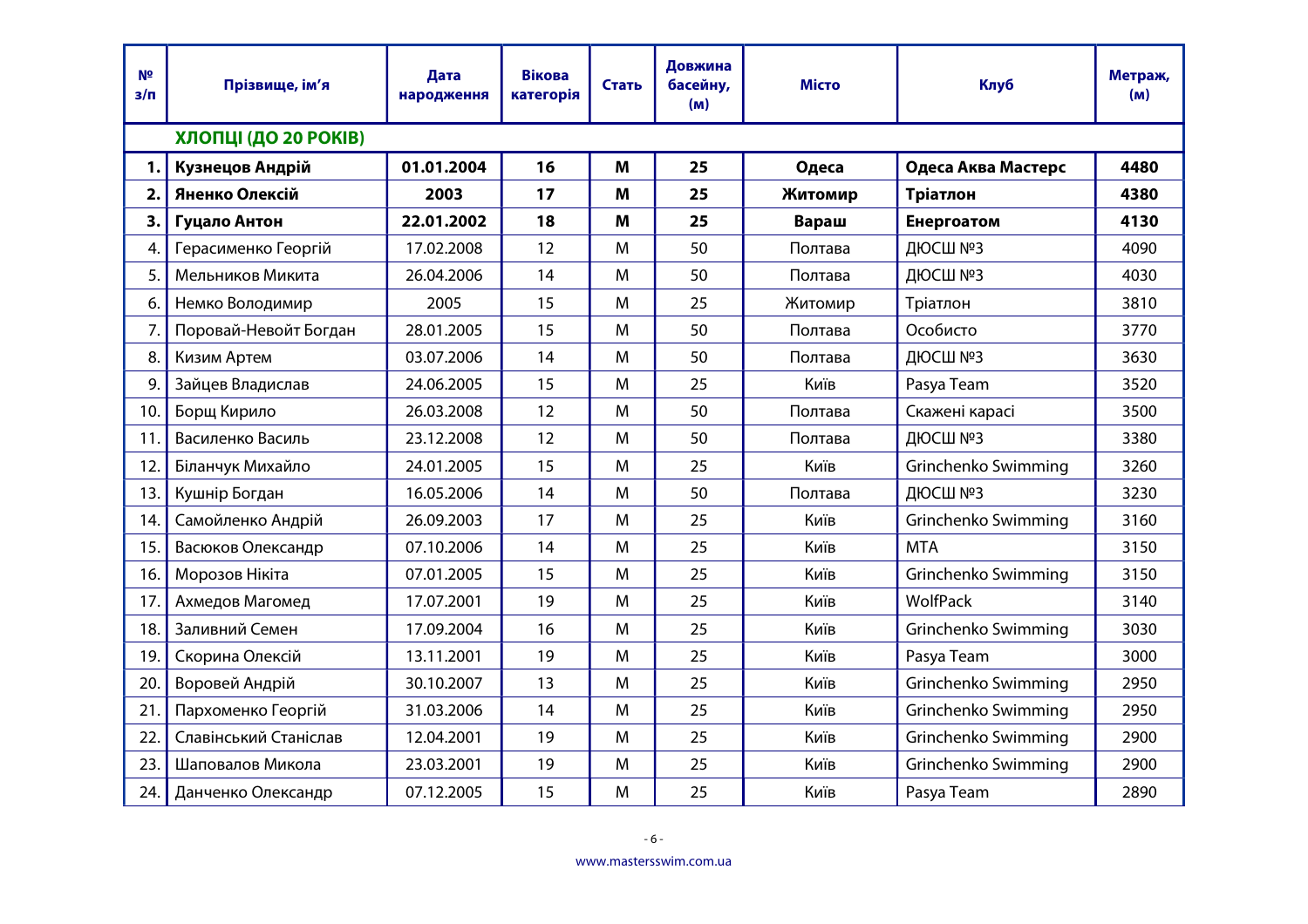| N <sup>2</sup><br>з/п | Прізвище, ім'я        | Дата<br>народження | <b>Вікова</b><br>категорія | Стать | Довжина<br>басейну,<br>(M) | <b>Місто</b> | Клуб                | Метраж,<br>(M) |
|-----------------------|-----------------------|--------------------|----------------------------|-------|----------------------------|--------------|---------------------|----------------|
|                       | ХЛОПЦІ (ДО 20 РОКІВ)  |                    |                            |       |                            |              |                     |                |
| 1.                    | Кузнецов Андрій       | 01.01.2004         | 16                         | M     | 25                         | Одеса        | Одеса Аква Мастерс  | 4480           |
| 2.                    | Яненко Олексій        | 2003               | 17                         | M     | 25                         | Житомир      | Тріатлон            | 4380           |
| 3.                    | Гуцало Антон          | 22.01.2002         | 18                         | M     | 25                         | Вараш        | Енергоатом          | 4130           |
| 4.                    | Герасименко Георгій   | 17.02.2008         | 12                         | M     | 50                         | Полтава      | ДЮСШ №3             | 4090           |
| 5.                    | Мельников Микита      | 26.04.2006         | 14                         | M     | 50                         | Полтава      | ДЮСШ №3             | 4030           |
| 6.                    | Немко Володимир       | 2005               | 15                         | M     | 25                         | Житомир      | Тріатлон            | 3810           |
| 7.                    | Поровай-Невойт Богдан | 28.01.2005         | 15                         | M     | 50                         | Полтава      | Особисто            | 3770           |
| 8.                    | Кизим Артем           | 03.07.2006         | 14                         | M     | 50                         | Полтава      | ДЮСШ №3             | 3630           |
| 9.                    | Зайцев Владислав      | 24.06.2005         | 15                         | M     | 25                         | Київ         | Pasya Team          | 3520           |
| 10.                   | Борщ Кирило           | 26.03.2008         | 12                         | M     | 50                         | Полтава      | Скажені карасі      | 3500           |
| 11.                   | Василенко Василь      | 23.12.2008         | 12                         | M     | 50                         | Полтава      | ДЮСШ №3             | 3380           |
| 12.                   | Біланчук Михайло      | 24.01.2005         | 15                         | M     | 25                         | Київ         | Grinchenko Swimming | 3260           |
| 13.                   | Кушнір Богдан         | 16.05.2006         | 14                         | M     | 50                         | Полтава      | ДЮСШ №3             | 3230           |
| 14.                   | Самойленко Андрій     | 26.09.2003         | 17                         | M     | 25                         | Київ         | Grinchenko Swimming | 3160           |
| 15.                   | Васюков Олександр     | 07.10.2006         | 14                         | M     | 25                         | Київ         | <b>MTA</b>          | 3150           |
| 16.                   | Морозов Нікіта        | 07.01.2005         | 15                         | M     | 25                         | Київ         | Grinchenko Swimming | 3150           |
| 17.                   | Ахмедов Магомед       | 17.07.2001         | 19                         | M     | 25                         | Київ         | <b>WolfPack</b>     | 3140           |
| 18.                   | Заливний Семен        | 17.09.2004         | 16                         | M     | 25                         | Київ         | Grinchenko Swimming | 3030           |
| 19.                   | Скорина Олексій       | 13.11.2001         | 19                         | M     | 25                         | Київ         | Pasya Team          | 3000           |
| 20.                   | Воровей Андрій        | 30.10.2007         | 13                         | M     | 25                         | Київ         | Grinchenko Swimming | 2950           |
| 21                    | Пархоменко Георгій    | 31.03.2006         | 14                         | M     | 25                         | Київ         | Grinchenko Swimming | 2950           |
| 22.                   | Славінський Станіслав | 12.04.2001         | 19                         | M     | 25                         | Київ         | Grinchenko Swimming | 2900           |
| 23.                   | Шаповалов Микола      | 23.03.2001         | 19                         | M     | 25                         | Київ         | Grinchenko Swimming | 2900           |
| 24.                   | Данченко Олександр    | 07.12.2005         | 15                         | M     | 25                         | Київ         | Pasya Team          | 2890           |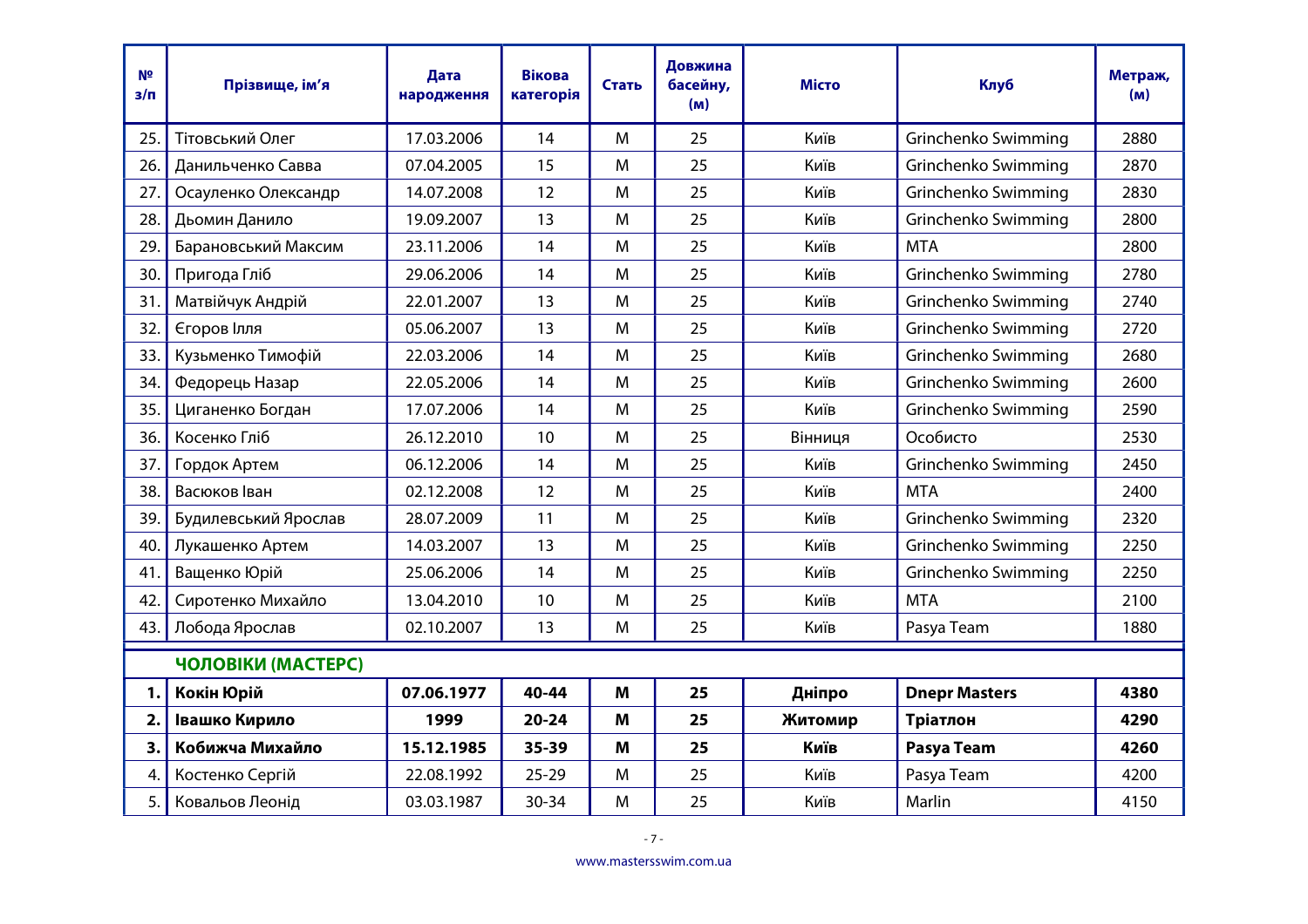| N <sup>2</sup><br>з/п | Прізвище, ім'я       | Дата<br>народження | <b>Вікова</b><br>категорія | Стать | Довжина<br>басейну,<br>(m) | Місто   | <b>Клуб</b>          | Метраж,<br>(M) |
|-----------------------|----------------------|--------------------|----------------------------|-------|----------------------------|---------|----------------------|----------------|
| 25.                   | Тітовський Олег      | 17.03.2006         | 14                         | M     | 25                         | Київ    | Grinchenko Swimming  | 2880           |
| 26.                   | Данильченко Савва    | 07.04.2005         | 15                         | M     | 25                         | Київ    | Grinchenko Swimming  | 2870           |
| 27.                   | Осауленко Олександр  | 14.07.2008         | 12                         | M     | 25                         | Київ    | Grinchenko Swimming  | 2830           |
| 28.                   | Дьомин Данило        | 19.09.2007         | 13                         | M     | 25                         | Київ    | Grinchenko Swimming  | 2800           |
| 29.                   | Барановський Максим  | 23.11.2006         | 14                         | M     | 25                         | Київ    | <b>MTA</b>           | 2800           |
| 30.                   | Пригода Гліб         | 29.06.2006         | 14                         | M     | 25                         | Київ    | Grinchenko Swimming  | 2780           |
| 31.                   | Матвійчук Андрій     | 22.01.2007         | 13                         | M     | 25                         | Київ    | Grinchenko Swimming  | 2740           |
| 32.                   | Єгоров Ілля          | 05.06.2007         | 13                         | M     | 25                         | Київ    | Grinchenko Swimming  | 2720           |
| 33.                   | Кузьменко Тимофій    | 22.03.2006         | 14                         | M     | 25                         | Київ    | Grinchenko Swimming  | 2680           |
| 34.                   | Федорець Назар       | 22.05.2006         | 14                         | M     | 25                         | Київ    | Grinchenko Swimming  | 2600           |
| 35.                   | Циганенко Богдан     | 17.07.2006         | 14                         | M     | 25                         | Київ    | Grinchenko Swimming  | 2590           |
| 36.                   | Косенко Гліб         | 26.12.2010         | 10                         | M     | 25                         | Вінниця | Особисто             | 2530           |
| 37.                   | Гордок Артем         | 06.12.2006         | 14                         | M     | 25                         | Київ    | Grinchenko Swimming  | 2450           |
| 38.                   | Васюков Іван         | 02.12.2008         | 12                         | M     | 25                         | Київ    | <b>MTA</b>           | 2400           |
| 39.                   | Будилевський Ярослав | 28.07.2009         | 11                         | M     | 25                         | Київ    | Grinchenko Swimming  | 2320           |
| 40.                   | Лукашенко Артем      | 14.03.2007         | 13                         | M     | 25                         | Київ    | Grinchenko Swimming  | 2250           |
| 41.                   | Ващенко Юрій         | 25.06.2006         | 14                         | M     | 25                         | Київ    | Grinchenko Swimming  | 2250           |
| 42.                   | Сиротенко Михайло    | 13.04.2010         | 10                         | M     | 25                         | Київ    | <b>MTA</b>           | 2100           |
| 43.                   | Лобода Ярослав       | 02.10.2007         | 13                         | M     | 25                         | Київ    | Pasya Team           | 1880           |
|                       | ЧОЛОВІКИ (МАСТЕРС)   |                    |                            |       |                            |         |                      |                |
| 1.                    | Кокін Юрій           | 07.06.1977         | 40-44                      | M     | 25                         | Дніпро  | <b>Dnepr Masters</b> | 4380           |
| 2.                    | Івашко Кирило        | 1999               | $20 - 24$                  | M     | 25                         | Житомир | Тріатлон             | 4290           |
| 3.                    | Кобижча Михайло      | 15.12.1985         | 35-39                      | M     | 25                         | Київ    | Pasya Team           | 4260           |
| 4.                    | Костенко Сергій      | 22.08.1992         | $25 - 29$                  | M     | 25                         | Київ    | Pasya Team           | 4200           |
| 5.                    | Ковальов Леонід      | 03.03.1987         | $30 - 34$                  | M     | 25                         | Київ    | Marlin               | 4150           |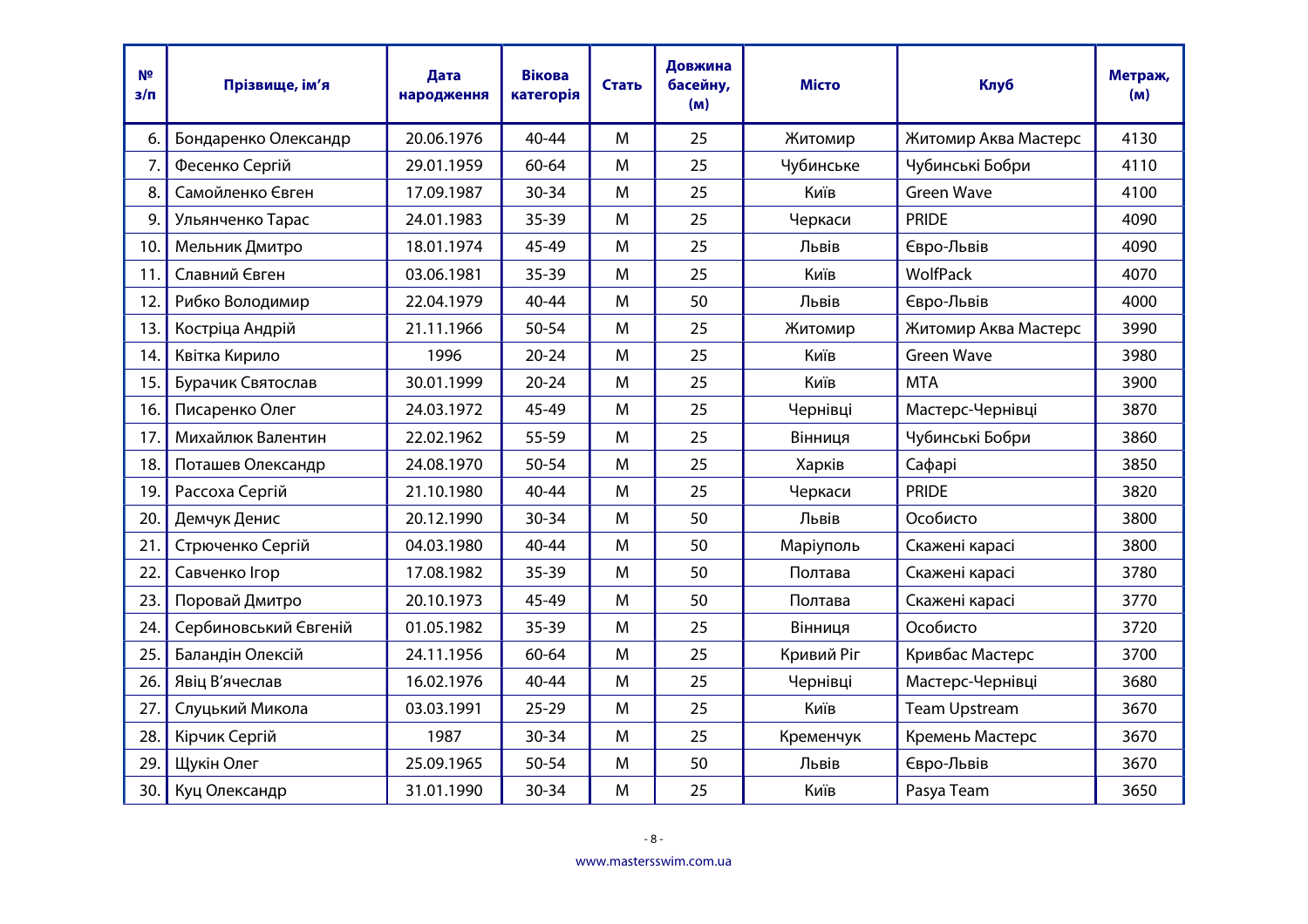| N <sup>2</sup><br>$3/\Pi$ | Прізвище, ім'я        | Дата<br>народження | <b>Вікова</b><br>категорія | Стать | Довжина<br>басейну,<br>(M) | <b>Місто</b> | Клуб                 | Метраж,<br>(M) |
|---------------------------|-----------------------|--------------------|----------------------------|-------|----------------------------|--------------|----------------------|----------------|
| 6.                        | Бондаренко Олександр  | 20.06.1976         | $40 - 44$                  | M     | 25                         | Житомир      | Житомир Аква Мастерс | 4130           |
| 7.                        | Фесенко Сергій        | 29.01.1959         | 60-64                      | M     | 25                         | Чубинське    | Чубинські Бобри      | 4110           |
| 8.                        | Самойленко Євген      | 17.09.1987         | 30-34                      | M     | 25                         | Київ         | <b>Green Wave</b>    | 4100           |
| 9.                        | Ульянченко Тарас      | 24.01.1983         | $35 - 39$                  | M     | 25                         | Черкаси      | <b>PRIDE</b>         | 4090           |
| 10.                       | Мельник Дмитро        | 18.01.1974         | 45-49                      | M     | 25                         | Львів        | Євро-Львів           | 4090           |
| 11.                       | Славний Євген         | 03.06.1981         | $35 - 39$                  | M     | 25                         | Київ         | WolfPack             | 4070           |
| 12.                       | Рибко Володимир       | 22.04.1979         | 40-44                      | M     | 50                         | Львів        | Євро-Львів           | 4000           |
| 13.                       | Костріца Андрій       | 21.11.1966         | 50-54                      | M     | 25                         | Житомир      | Житомир Аква Мастерс | 3990           |
| 14.                       | Квітка Кирило         | 1996               | $20 - 24$                  | M     | 25                         | Київ         | <b>Green Wave</b>    | 3980           |
| 15.                       | Бурачик Святослав     | 30.01.1999         | $20 - 24$                  | M     | 25                         | Київ         | <b>MTA</b>           | 3900           |
| 16.                       | Писаренко Олег        | 24.03.1972         | 45-49                      | M     | 25                         | Чернівці     | Мастерс-Чернівці     | 3870           |
| 17.                       | Михайлюк Валентин     | 22.02.1962         | 55-59                      | M     | 25                         | Вінниця      | Чубинські Бобри      | 3860           |
| 18.                       | Поташев Олександр     | 24.08.1970         | 50-54                      | M     | 25                         | Харків       | Сафарі               | 3850           |
| 19.                       | Рассоха Сергій        | 21.10.1980         | 40-44                      | M     | 25                         | Черкаси      | <b>PRIDE</b>         | 3820           |
| 20.                       | Демчук Денис          | 20.12.1990         | 30-34                      | M     | 50                         | Львів        | Особисто             | 3800           |
| 21                        | Стрюченко Сергій      | 04.03.1980         | 40-44                      | M     | 50                         | Маріуполь    | Скажені карасі       | 3800           |
| 22.                       | Савченко Ігор         | 17.08.1982         | 35-39                      | M     | 50                         | Полтава      | Скажені карасі       | 3780           |
| 23.                       | Поровай Дмитро        | 20.10.1973         | 45-49                      | M     | 50                         | Полтава      | Скажені карасі       | 3770           |
| 24.                       | Сербиновський Євгеній | 01.05.1982         | 35-39                      | M     | 25                         | Вінниця      | Особисто             | 3720           |
| 25.                       | Баландін Олексій      | 24.11.1956         | 60-64                      | M     | 25                         | Кривий Ріг   | Кривбас Мастерс      | 3700           |
| 26.                       | Явіц В'ячеслав        | 16.02.1976         | 40-44                      | M     | 25                         | Чернівці     | Мастерс-Чернівці     | 3680           |
| 27.                       | Слуцький Микола       | 03.03.1991         | $25 - 29$                  | M     | 25                         | Київ         | <b>Team Upstream</b> | 3670           |
| 28.                       | Кірчик Сергій         | 1987               | $30 - 34$                  | M     | 25                         | Кременчук    | Кремень Мастерс      | 3670           |
| 29.                       | Щукін Олег            | 25.09.1965         | 50-54                      | M     | 50                         | Львів        | Євро-Львів           | 3670           |
| 30.                       | Куц Олександр         | 31.01.1990         | 30-34                      | M     | 25                         | Київ         | Pasya Team           | 3650           |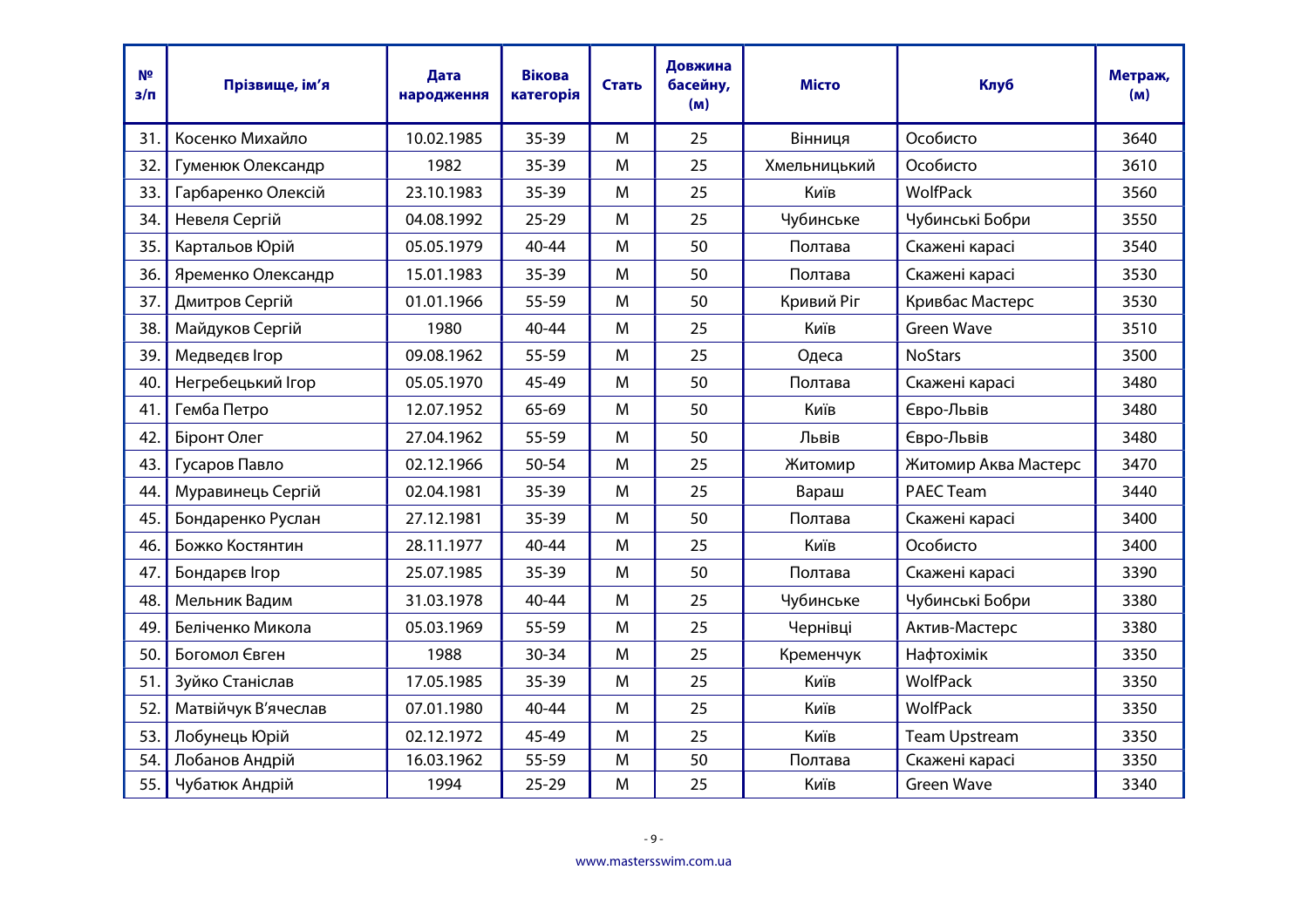| N <sup>2</sup><br>$3/\Pi$ | Прізвище, ім'я      | Дата<br>народження | <b>Вікова</b><br>категорія | Стать | Довжина<br>басейну,<br>(M) | <b>Місто</b> | Клуб                 | Метраж,<br>(M) |
|---------------------------|---------------------|--------------------|----------------------------|-------|----------------------------|--------------|----------------------|----------------|
| 31                        | Косенко Михайло     | 10.02.1985         | $35 - 39$                  | M     | 25                         | Вінниця      | Особисто             | 3640           |
| 32.                       | Гуменюк Олександр   | 1982               | 35-39                      | M     | 25                         | Хмельницький | Особисто             | 3610           |
| 33.                       | Гарбаренко Олексій  | 23.10.1983         | 35-39                      | M     | 25                         | Київ         | <b>WolfPack</b>      | 3560           |
| 34.                       | Невеля Сергій       | 04.08.1992         | $25 - 29$                  | M     | 25                         | Чубинське    | Чубинські Бобри      | 3550           |
| 35.                       | Картальов Юрій      | 05.05.1979         | 40-44                      | M     | 50                         | Полтава      | Скажені карасі       | 3540           |
| 36.                       | Яременко Олександр  | 15.01.1983         | 35-39                      | M     | 50                         | Полтава      | Скажені карасі       | 3530           |
| 37.                       | Дмитров Сергій      | 01.01.1966         | 55-59                      | M     | 50                         | Кривий Ріг   | Кривбас Мастерс      | 3530           |
| 38.                       | Майдуков Сергій     | 1980               | 40-44                      | M     | 25                         | Київ         | <b>Green Wave</b>    | 3510           |
| 39.                       | Медведєв Ігор       | 09.08.1962         | 55-59                      | M     | 25                         | Одеса        | <b>NoStars</b>       | 3500           |
| 40.                       | Негребецький Ігор   | 05.05.1970         | 45-49                      | M     | 50                         | Полтава      | Скажені карасі       | 3480           |
| 41                        | Гемба Петро         | 12.07.1952         | 65-69                      | M     | 50                         | Київ         | Євро-Львів           | 3480           |
| 42.                       | Біронт Олег         | 27.04.1962         | 55-59                      | M     | 50                         | Львів        | Євро-Львів           | 3480           |
| 43.                       | Гусаров Павло       | 02.12.1966         | 50-54                      | M     | 25                         | Житомир      | Житомир Аква Мастерс | 3470           |
| 44.                       | Муравинець Сергій   | 02.04.1981         | 35-39                      | M     | 25                         | Вараш        | <b>PAEC Team</b>     | 3440           |
| 45.                       | Бондаренко Руслан   | 27.12.1981         | 35-39                      | M     | 50                         | Полтава      | Скажені карасі       | 3400           |
| 46.                       | Божко Костянтин     | 28.11.1977         | $40 - 44$                  | M     | 25                         | Київ         | Особисто             | 3400           |
| 47                        | Бондарєв Ігор       | 25.07.1985         | $35 - 39$                  | M     | 50                         | Полтава      | Скажені карасі       | 3390           |
| 48.                       | Мельник Вадим       | 31.03.1978         | 40-44                      | M     | 25                         | Чубинське    | Чубинські Бобри      | 3380           |
| 49.                       | Беліченко Микола    | 05.03.1969         | 55-59                      | M     | 25                         | Чернівці     | Актив-Мастерс        | 3380           |
| 50.                       | Богомол Євген       | 1988               | 30-34                      | M     | 25                         | Кременчук    | Нафтохімік           | 3350           |
| 51.                       | Зуйко Станіслав     | 17.05.1985         | 35-39                      | M     | 25                         | Київ         | <b>WolfPack</b>      | 3350           |
| 52.                       | Матвійчук В'ячеслав | 07.01.1980         | 40-44                      | M     | 25                         | Київ         | WolfPack             | 3350           |
| 53.                       | Лобунець Юрій       | 02.12.1972         | 45-49                      | M     | 25                         | Київ         | <b>Team Upstream</b> | 3350           |
| 54.                       | Лобанов Андрій      | 16.03.1962         | 55-59                      | M     | 50                         | Полтава      | Скажені карасі       | 3350           |
| 55.                       | Чубатюк Андрій      | 1994               | $25 - 29$                  | M     | 25                         | Київ         | <b>Green Wave</b>    | 3340           |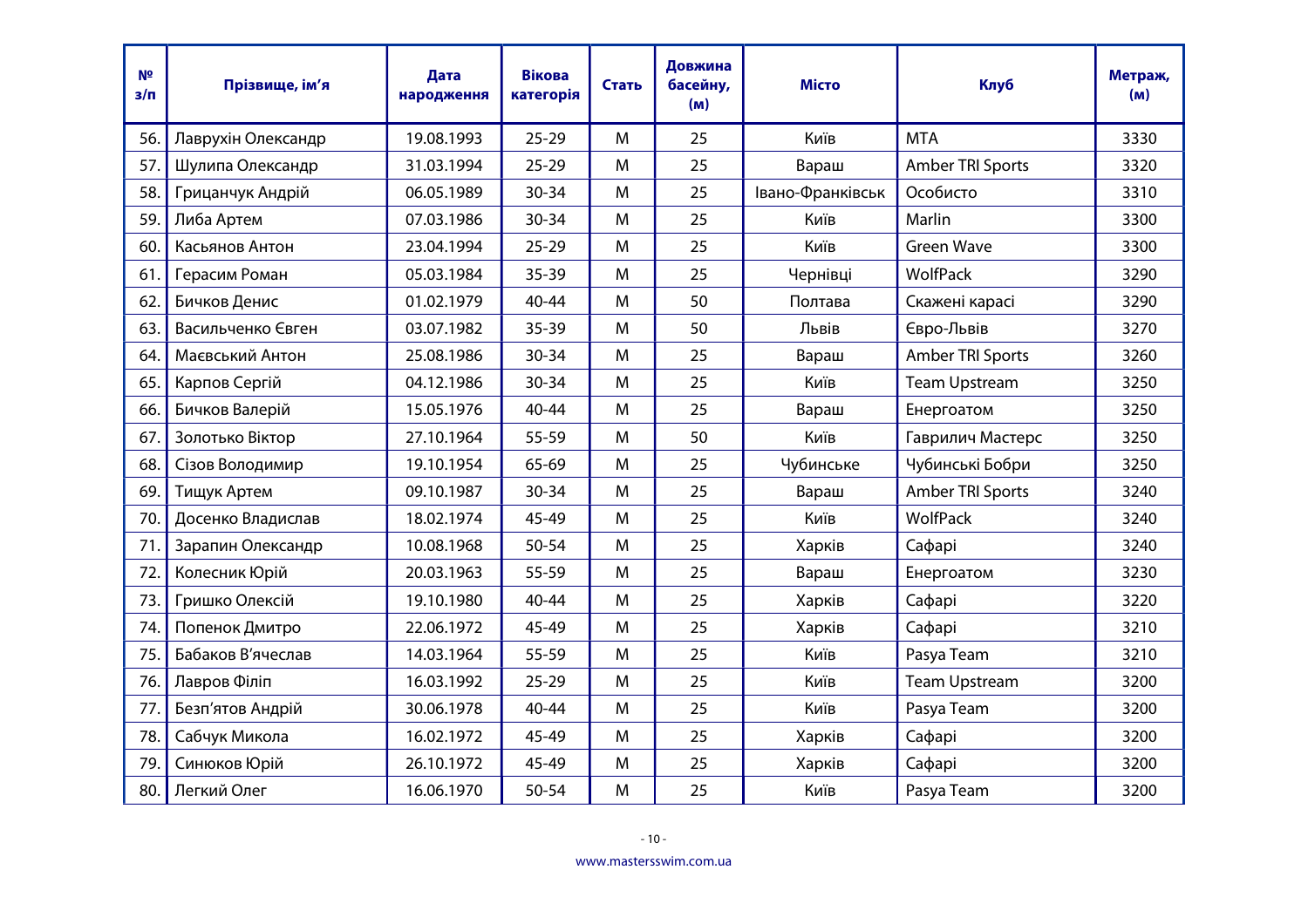| N <sup>2</sup><br>$3/\Pi$ | Прізвище, ім'я     | Дата<br>народження | <b>Вікова</b><br>категорія | Стать | Довжина<br>басейну,<br>(M) | <b>Місто</b>     | <b>Клуб</b>          | Метраж,<br>(M) |
|---------------------------|--------------------|--------------------|----------------------------|-------|----------------------------|------------------|----------------------|----------------|
| 56.                       | Лаврухін Олександр | 19.08.1993         | $25 - 29$                  | M     | 25                         | Київ             | <b>MTA</b>           | 3330           |
| 57.                       | Шулипа Олександр   | 31.03.1994         | $25 - 29$                  | M     | 25                         | Вараш            | Amber TRI Sports     | 3320           |
| 58.                       | Грицанчук Андрій   | 06.05.1989         | $30 - 34$                  | M     | 25                         | Івано-Франківськ | Особисто             | 3310           |
| 59.                       | Либа Артем         | 07.03.1986         | $30 - 34$                  | M     | 25                         | Київ             | Marlin               | 3300           |
| 60.                       | Касьянов Антон     | 23.04.1994         | $25 - 29$                  | M     | 25                         | Київ             | <b>Green Wave</b>    | 3300           |
| 61.                       | Герасим Роман      | 05.03.1984         | 35-39                      | M     | 25                         | Чернівці         | <b>WolfPack</b>      | 3290           |
| 62.                       | Бичков Денис       | 01.02.1979         | 40-44                      | M     | 50                         | Полтава          | Скажені карасі       | 3290           |
| 63.                       | Васильченко Євген  | 03.07.1982         | 35-39                      | M     | 50                         | Львів            | Євро-Львів           | 3270           |
| 64.                       | Маєвський Антон    | 25.08.1986         | $30 - 34$                  | M     | 25                         | Вараш            | Amber TRI Sports     | 3260           |
| 65.                       | Карпов Сергій      | 04.12.1986         | $30 - 34$                  | M     | 25                         | Київ             | <b>Team Upstream</b> | 3250           |
| 66.                       | Бичков Валерій     | 15.05.1976         | $40 - 44$                  | M     | 25                         | Вараш            | Енергоатом           | 3250           |
| 67.                       | Золотько Віктор    | 27.10.1964         | 55-59                      | M     | 50                         | Київ             | Гаврилич Мастерс     | 3250           |
| 68.                       | Сізов Володимир    | 19.10.1954         | 65-69                      | M     | 25                         | Чубинське        | Чубинські Бобри      | 3250           |
| 69.                       | Тищук Артем        | 09.10.1987         | $30 - 34$                  | M     | 25                         | Вараш            | Amber TRI Sports     | 3240           |
| 70.                       | Досенко Владислав  | 18.02.1974         | 45-49                      | M     | 25                         | Київ             | <b>WolfPack</b>      | 3240           |
| 71                        | Зарапин Олександр  | 10.08.1968         | 50-54                      | M     | 25                         | Харків           | Сафарі               | 3240           |
| 72.                       | Колесник Юрій      | 20.03.1963         | 55-59                      | M     | 25                         | Вараш            | Енергоатом           | 3230           |
| 73.                       | Гришко Олексій     | 19.10.1980         | 40-44                      | M     | 25                         | Харків           | Сафарі               | 3220           |
| 74.                       | Попенок Дмитро     | 22.06.1972         | 45-49                      | M     | 25                         | Харків           | Сафарі               | 3210           |
| 75.                       | Бабаков В'ячеслав  | 14.03.1964         | 55-59                      | M     | 25                         | Київ             | Pasya Team           | 3210           |
| 76.                       | Лавров Філіп       | 16.03.1992         | $25 - 29$                  | M     | 25                         | Київ             | <b>Team Upstream</b> | 3200           |
| 77.                       | Безп'ятов Андрій   | 30.06.1978         | 40-44                      | M     | 25                         | Київ             | Pasya Team           | 3200           |
| 78.                       | Сабчук Микола      | 16.02.1972         | 45-49                      | M     | 25                         | Харків           | Сафарі               | 3200           |
| 79.                       | Синюков Юрій       | 26.10.1972         | 45-49                      | M     | 25                         | Харків           | Сафарі               | 3200           |
| 80.                       | Легкий Олег        | 16.06.1970         | $50 - 54$                  | M     | 25                         | Київ             | Pasya Team           | 3200           |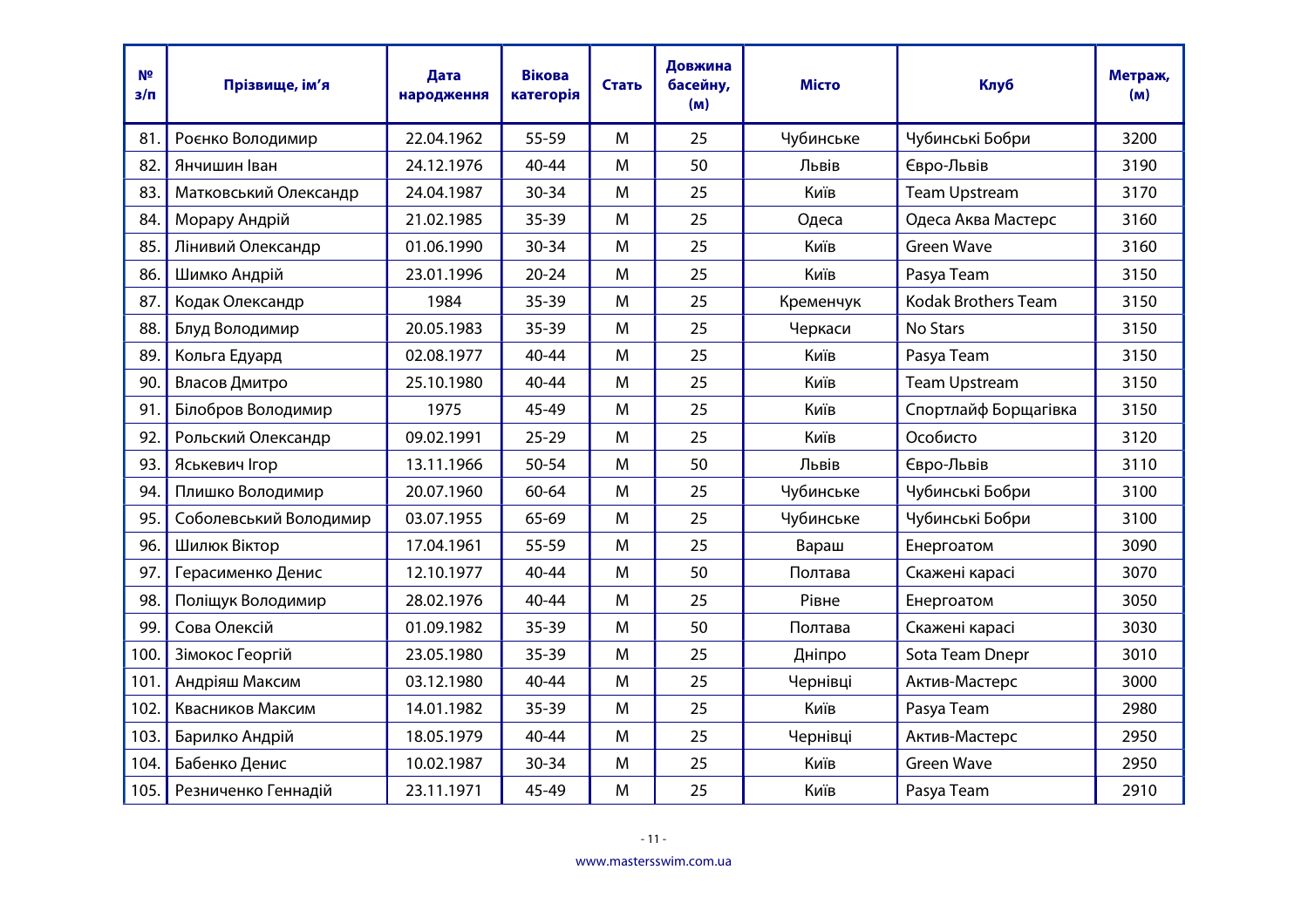| N <sup>2</sup><br>$3/\Pi$ | Прізвище, ім'я         | Дата<br>народження | <b>Вікова</b><br>категорія | Стать | Довжина<br>басейну,<br>(M) | <b>Місто</b> | Клуб                       | Метраж,<br>(M) |
|---------------------------|------------------------|--------------------|----------------------------|-------|----------------------------|--------------|----------------------------|----------------|
| 81                        | Роєнко Володимир       | 22.04.1962         | 55-59                      | M     | 25                         | Чубинське    | Чубинські Бобри            | 3200           |
| 82.                       | Янчишин Іван           | 24.12.1976         | 40-44                      | M     | 50                         | Львів        | Євро-Львів                 | 3190           |
| 83.                       | Матковський Олександр  | 24.04.1987         | 30-34                      | M     | 25                         | Київ         | <b>Team Upstream</b>       | 3170           |
| 84.                       | Морару Андрій          | 21.02.1985         | $35 - 39$                  | M     | 25                         | Одеса        | Одеса Аква Мастерс         | 3160           |
| 85.                       | Лінивий Олександр      | 01.06.1990         | 30-34                      | M     | 25                         | Київ         | <b>Green Wave</b>          | 3160           |
| 86.                       | Шимко Андрій           | 23.01.1996         | $20 - 24$                  | M     | 25                         | Київ         | Pasya Team                 | 3150           |
| 87                        | Кодак Олександр        | 1984               | $35 - 39$                  | M     | 25                         | Кременчук    | <b>Kodak Brothers Team</b> | 3150           |
| 88.                       | Блуд Володимир         | 20.05.1983         | $35 - 39$                  | M     | 25                         | Черкаси      | No Stars                   | 3150           |
| 89.                       | Кольга Едуард          | 02.08.1977         | 40-44                      | M     | 25                         | Київ         | Pasya Team                 | 3150           |
| 90.                       | Власов Дмитро          | 25.10.1980         | 40-44                      | M     | 25                         | Київ         | <b>Team Upstream</b>       | 3150           |
| 91                        | Білобров Володимир     | 1975               | 45-49                      | M     | 25                         | Київ         | Спортлайф Борщагівка       | 3150           |
| 92.                       | Рольский Олександр     | 09.02.1991         | $25 - 29$                  | M     | 25                         | Київ         | Особисто                   | 3120           |
| 93.                       | Яськевич Ігор          | 13.11.1966         | 50-54                      | M     | 50                         | Львів        | Євро-Львів                 | 3110           |
| 94.                       | Плишко Володимир       | 20.07.1960         | 60-64                      | M     | 25                         | Чубинське    | Чубинські Бобри            | 3100           |
| 95.                       | Соболевський Володимир | 03.07.1955         | 65-69                      | M     | 25                         | Чубинське    | Чубинські Бобри            | 3100           |
| 96.                       | Шилюк Віктор           | 17.04.1961         | 55-59                      | M     | 25                         | Вараш        | Енергоатом                 | 3090           |
| 97.                       | Герасименко Денис      | 12.10.1977         | 40-44                      | M     | 50                         | Полтава      | Скажені карасі             | 3070           |
| 98.                       | Поліщук Володимир      | 28.02.1976         | 40-44                      | M     | 25                         | Рівне        | Енергоатом                 | 3050           |
| 99.                       | Сова Олексій           | 01.09.1982         | $35 - 39$                  | M     | 50                         | Полтава      | Скажені карасі             | 3030           |
| 100.                      | Зімокос Георгій        | 23.05.1980         | $35 - 39$                  | M     | 25                         | Дніпро       | Sota Team Dnepr            | 3010           |
| 101.                      | Андріяш Максим         | 03.12.1980         | 40-44                      | M     | 25                         | Чернівці     | Актив-Мастерс              | 3000           |
| 102.                      | Квасников Максим       | 14.01.1982         | $35 - 39$                  | M     | 25                         | Київ         | Pasya Team                 | 2980           |
| 103.                      | Барилко Андрій         | 18.05.1979         | 40-44                      | M     | 25                         | Чернівці     | Актив-Мастерс              | 2950           |
| 104.                      | Бабенко Денис          | 10.02.1987         | 30-34                      | M     | 25                         | Київ         | <b>Green Wave</b>          | 2950           |
| 105.                      | Резниченко Геннадій    | 23.11.1971         | 45-49                      | M     | 25                         | Київ         | Pasya Team                 | 2910           |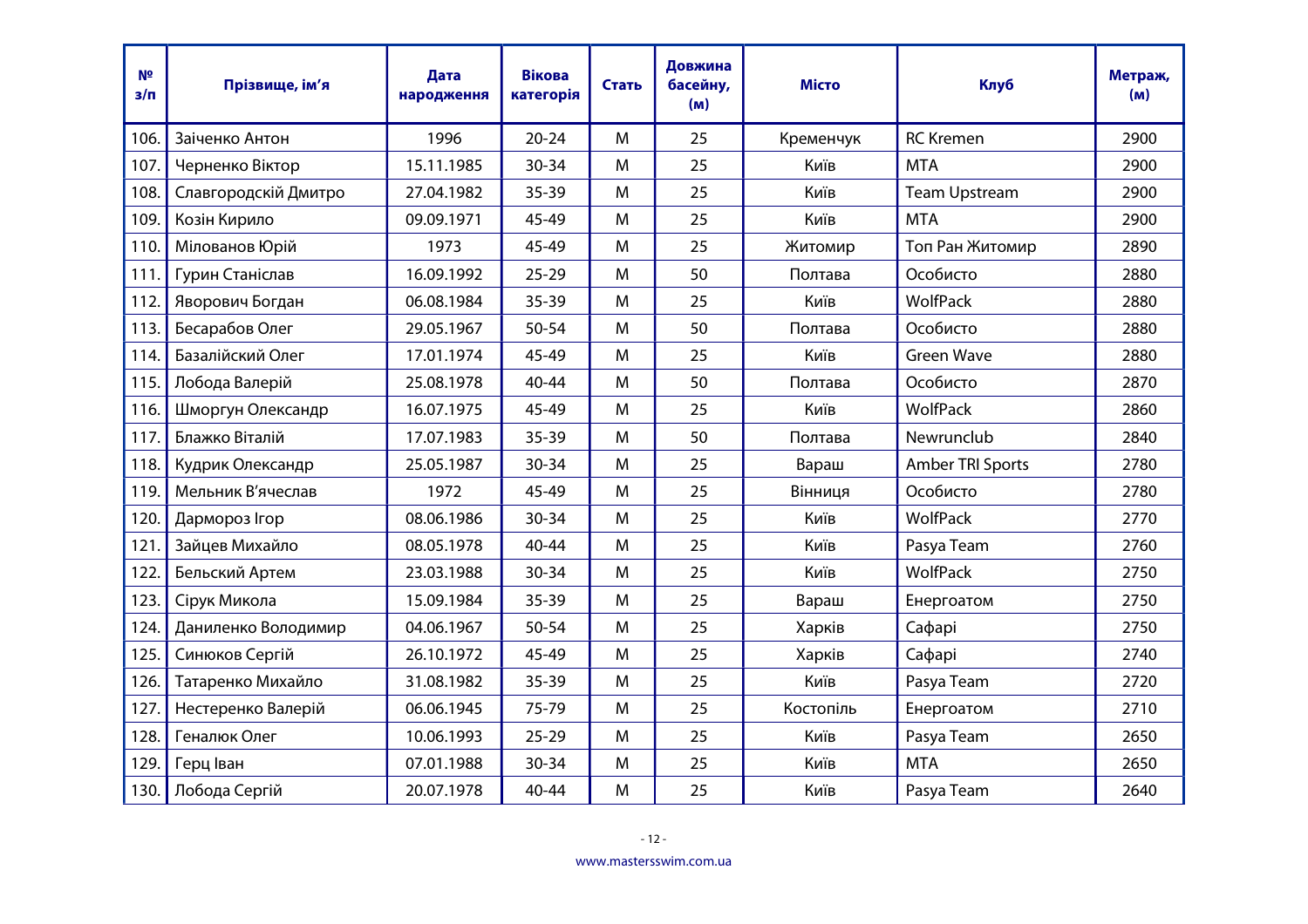| N <sup>2</sup><br>$3/\Pi$ | Прізвище, ім'я       | Дата<br>народження | <b>Вікова</b><br>категорія | Стать | Довжина<br>басейну,<br>(M) | <b>Місто</b> | Клуб                 | Метраж,<br>(M) |
|---------------------------|----------------------|--------------------|----------------------------|-------|----------------------------|--------------|----------------------|----------------|
| 106.                      | Заіченко Антон       | 1996               | $20 - 24$                  | M     | 25                         | Кременчук    | <b>RC</b> Kremen     | 2900           |
| 107.                      | Черненко Віктор      | 15.11.1985         | 30-34                      | M     | 25                         | Київ         | <b>MTA</b>           | 2900           |
| 108.                      | Славгородскій Дмитро | 27.04.1982         | $35 - 39$                  | M     | 25                         | Київ         | <b>Team Upstream</b> | 2900           |
| 109.                      | Козін Кирило         | 09.09.1971         | 45-49                      | M     | 25                         | Київ         | <b>MTA</b>           | 2900           |
| 110.                      | Мілованов Юрій       | 1973               | 45-49                      | M     | 25                         | Житомир      | Топ Ран Житомир      | 2890           |
| 111.                      | Гурин Станіслав      | 16.09.1992         | $25 - 29$                  | M     | 50                         | Полтава      | Особисто             | 2880           |
| 112.                      | Яворович Богдан      | 06.08.1984         | $35 - 39$                  | M     | 25                         | Київ         | <b>WolfPack</b>      | 2880           |
| 113.                      | Бесарабов Олег       | 29.05.1967         | 50-54                      | M     | 50                         | Полтава      | Особисто             | 2880           |
| 114.                      | Базалійский Олег     | 17.01.1974         | 45-49                      | M     | 25                         | Київ         | <b>Green Wave</b>    | 2880           |
| 115.                      | Лобода Валерій       | 25.08.1978         | 40-44                      | M     | 50                         | Полтава      | Особисто             | 2870           |
| 116.                      | Шморгун Олександр    | 16.07.1975         | 45-49                      | M     | 25                         | Київ         | WolfPack             | 2860           |
| 117.                      | Блажко Віталій       | 17.07.1983         | 35-39                      | M     | 50                         | Полтава      | Newrunclub           | 2840           |
| 118.                      | Кудрик Олександр     | 25.05.1987         | 30-34                      | M     | 25                         | Вараш        | Amber TRI Sports     | 2780           |
| 119.                      | Мельник В'ячеслав    | 1972               | 45-49                      | M     | 25                         | Вінниця      | Особисто             | 2780           |
| 120.                      | Дармороз Ігор        | 08.06.1986         | 30-34                      | M     | 25                         | Київ         | <b>WolfPack</b>      | 2770           |
| 121.                      | Зайцев Михайло       | 08.05.1978         | 40-44                      | M     | 25                         | Київ         | Pasya Team           | 2760           |
| 122.                      | Бельский Артем       | 23.03.1988         | 30-34                      | M     | 25                         | Київ         | <b>WolfPack</b>      | 2750           |
| 123.                      | Сірук Микола         | 15.09.1984         | 35-39                      | M     | 25                         | Вараш        | Енергоатом           | 2750           |
| 124.                      | Даниленко Володимир  | 04.06.1967         | 50-54                      | M     | 25                         | Харків       | Сафарі               | 2750           |
| 125.                      | Синюков Сергій       | 26.10.1972         | 45-49                      | M     | 25                         | Харків       | Сафарі               | 2740           |
| 126.                      | Татаренко Михайло    | 31.08.1982         | $35 - 39$                  | M     | 25                         | Київ         | Pasya Team           | 2720           |
| 127.                      | Нестеренко Валерій   | 06.06.1945         | 75-79                      | M     | 25                         | Костопіль    | Енергоатом           | 2710           |
| 128.                      | Геналюк Олег         | 10.06.1993         | $25 - 29$                  | M     | 25                         | Київ         | Pasya Team           | 2650           |
| 129.                      | Герц Іван            | 07.01.1988         | 30-34                      | M     | 25                         | Київ         | <b>MTA</b>           | 2650           |
| 130.                      | Лобода Сергій        | 20.07.1978         | $40 - 44$                  | M     | 25                         | Київ         | Pasya Team           | 2640           |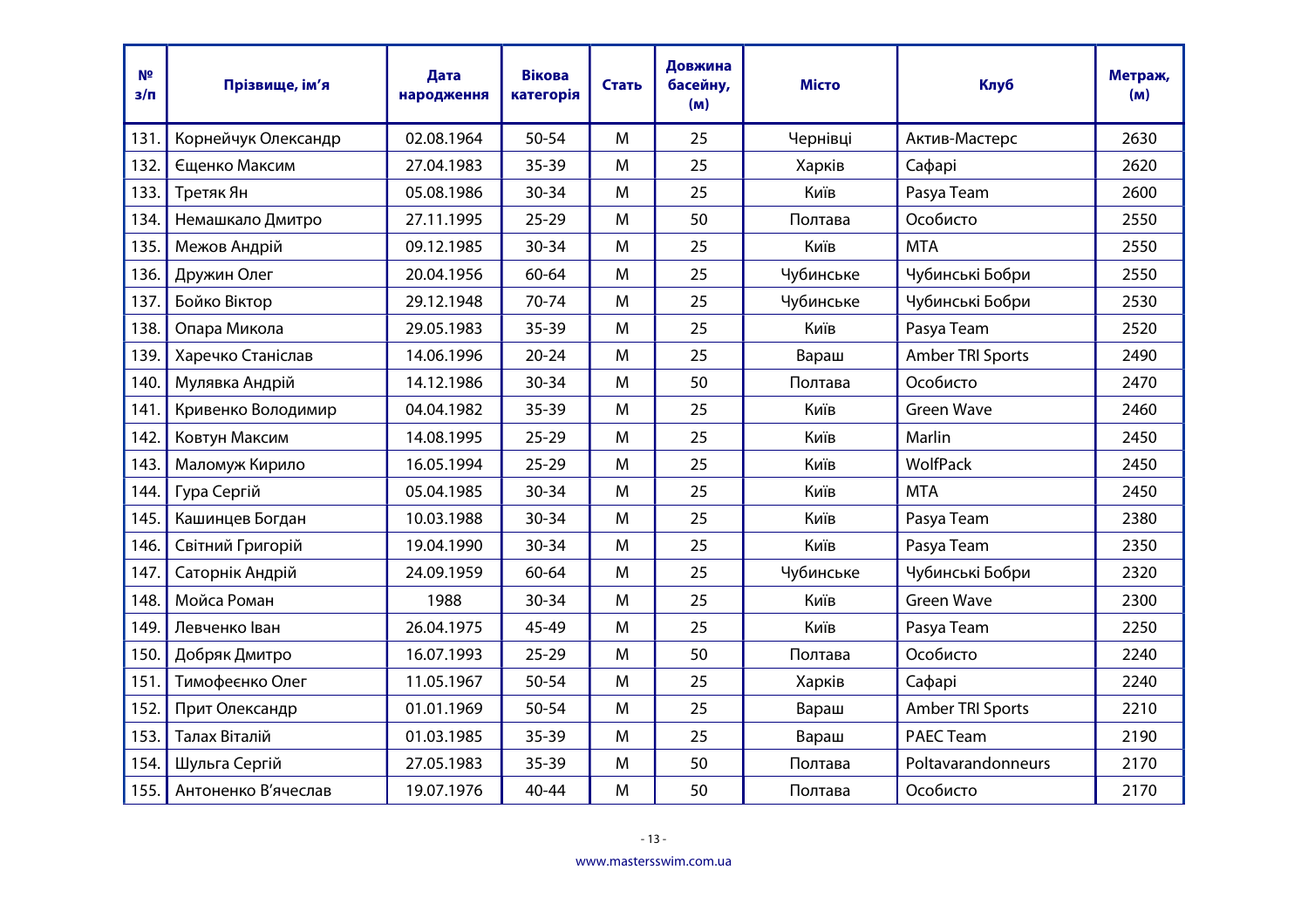| N <sup>2</sup><br>$3/\Pi$ | Прізвище, ім'я      | Дата<br>народження | <b>Вікова</b><br>категорія | Стать | Довжина<br>басейну,<br>(M) | <b>Місто</b> | Клуб               | Метраж,<br>(M) |
|---------------------------|---------------------|--------------------|----------------------------|-------|----------------------------|--------------|--------------------|----------------|
| 131                       | Корнейчук Олександр | 02.08.1964         | 50-54                      | M     | 25                         | Чернівці     | Актив-Мастерс      | 2630           |
| 132.                      | Єщенко Максим       | 27.04.1983         | 35-39                      | M     | 25                         | Харків       | Сафарі             | 2620           |
| 133.                      | Третяк Ян           | 05.08.1986         | 30-34                      | M     | 25                         | Київ         | Pasya Team         | 2600           |
| 134.                      | Немашкало Дмитро    | 27.11.1995         | $25 - 29$                  | M     | 50                         | Полтава      | Особисто           | 2550           |
| 135.                      | Межов Андрій        | 09.12.1985         | 30-34                      | M     | 25                         | Київ         | <b>MTA</b>         | 2550           |
| 136.                      | Дружин Олег         | 20.04.1956         | 60-64                      | M     | 25                         | Чубинське    | Чубинські Бобри    | 2550           |
| 137.                      | Бойко Віктор        | 29.12.1948         | 70-74                      | M     | 25                         | Чубинське    | Чубинські Бобри    | 2530           |
| 138.                      | Опара Микола        | 29.05.1983         | 35-39                      | M     | 25                         | Київ         | Pasya Team         | 2520           |
| 139.                      | Харечко Станіслав   | 14.06.1996         | $20 - 24$                  | M     | 25                         | Вараш        | Amber TRI Sports   | 2490           |
| 140.                      | Мулявка Андрій      | 14.12.1986         | 30-34                      | M     | 50                         | Полтава      | Особисто           | 2470           |
| 141.                      | Кривенко Володимир  | 04.04.1982         | $35 - 39$                  | M     | 25                         | Київ         | <b>Green Wave</b>  | 2460           |
| 142.                      | Ковтун Максим       | 14.08.1995         | $25 - 29$                  | M     | 25                         | Київ         | Marlin             | 2450           |
| 143.                      | Маломуж Кирило      | 16.05.1994         | $25 - 29$                  | M     | 25                         | Київ         | <b>WolfPack</b>    | 2450           |
| 144.                      | Гура Сергій         | 05.04.1985         | 30-34                      | M     | 25                         | Київ         | <b>MTA</b>         | 2450           |
| 145.                      | Кашинцев Богдан     | 10.03.1988         | 30-34                      | M     | 25                         | Київ         | Pasya Team         | 2380           |
| 146.                      | Світний Григорій    | 19.04.1990         | 30-34                      | M     | 25                         | Київ         | Pasya Team         | 2350           |
| 147.                      | Саторнік Андрій     | 24.09.1959         | 60-64                      | M     | 25                         | Чубинське    | Чубинські Бобри    | 2320           |
| 148.                      | Мойса Роман         | 1988               | 30-34                      | M     | 25                         | Київ         | <b>Green Wave</b>  | 2300           |
| 149.                      | Левченко Іван       | 26.04.1975         | 45-49                      | M     | 25                         | Київ         | Pasya Team         | 2250           |
| 150.                      | Добряк Дмитро       | 16.07.1993         | $25 - 29$                  | M     | 50                         | Полтава      | Особисто           | 2240           |
| 151                       | Тимофеєнко Олег     | 11.05.1967         | 50-54                      | M     | 25                         | Харків       | Сафарі             | 2240           |
| 152                       | Прит Олександр      | 01.01.1969         | $50 - 54$                  | M     | 25                         | Вараш        | Amber TRI Sports   | 2210           |
| 153.                      | Талах Віталій       | 01.03.1985         | $35 - 39$                  | M     | 25                         | Вараш        | <b>PAEC Team</b>   | 2190           |
| 154.                      | Шульга Сергій       | 27.05.1983         | 35-39                      | M     | 50                         | Полтава      | Poltavarandonneurs | 2170           |
| 155.                      | Антоненко В'ячеслав | 19.07.1976         | 40-44                      | M     | 50                         | Полтава      | Особисто           | 2170           |